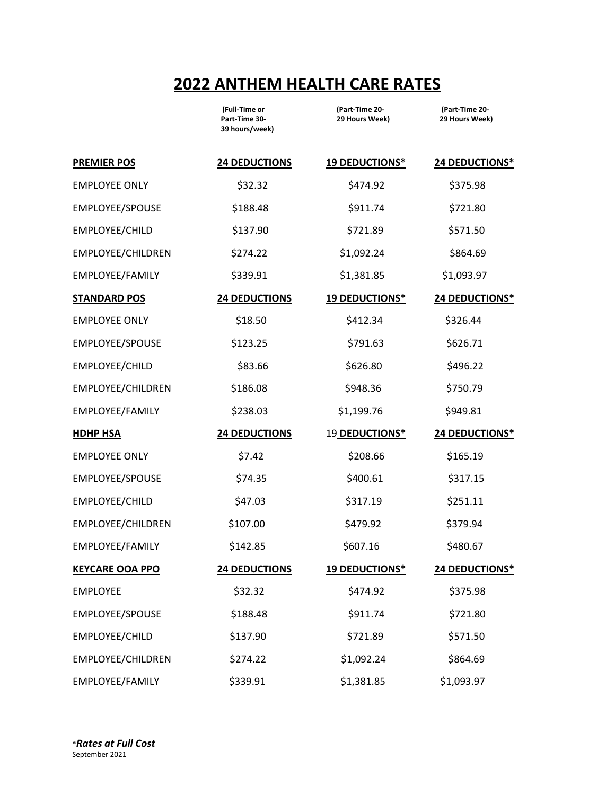## **2022 ANTHEM HEALTH CARE RATES**

|                        | (Full-Time or<br>Part-Time 30-<br>39 hours/week) | (Part-Time 20-<br>29 Hours Week) | (Part-Time 20-<br>29 Hours Week) |
|------------------------|--------------------------------------------------|----------------------------------|----------------------------------|
| <b>PREMIER POS</b>     | <b>24 DEDUCTIONS</b>                             | <b>19 DEDUCTIONS*</b>            | 24 DEDUCTIONS*                   |
| <b>EMPLOYEE ONLY</b>   | \$32.32                                          | \$474.92                         | \$375.98                         |
| EMPLOYEE/SPOUSE        | \$188.48                                         | \$911.74                         | \$721.80                         |
| EMPLOYEE/CHILD         | \$137.90                                         | \$721.89                         | \$571.50                         |
| EMPLOYEE/CHILDREN      | \$274.22                                         | \$1,092.24                       | \$864.69                         |
| EMPLOYEE/FAMILY        | \$339.91                                         | \$1,381.85                       | \$1,093.97                       |
| <b>STANDARD POS</b>    | <b>24 DEDUCTIONS</b>                             | <b>19 DEDUCTIONS*</b>            | 24 DEDUCTIONS*                   |
| <b>EMPLOYEE ONLY</b>   | \$18.50                                          | \$412.34                         | \$326.44                         |
| EMPLOYEE/SPOUSE        | \$123.25                                         | \$791.63                         | \$626.71                         |
| EMPLOYEE/CHILD         | \$83.66                                          | \$626.80                         | \$496.22                         |
| EMPLOYEE/CHILDREN      | \$186.08                                         | \$948.36                         | \$750.79                         |
| EMPLOYEE/FAMILY        | \$238.03                                         | \$1,199.76                       | \$949.81                         |
| <b>HDHP HSA</b>        | <b>24 DEDUCTIONS</b>                             | 19 DEDUCTIONS*                   | 24 DEDUCTIONS*                   |
| <b>EMPLOYEE ONLY</b>   | \$7.42                                           | \$208.66                         | \$165.19                         |
| EMPLOYEE/SPOUSE        | \$74.35                                          | \$400.61                         | \$317.15                         |
| EMPLOYEE/CHILD         | \$47.03                                          | \$317.19                         | \$251.11                         |
| EMPLOYEE/CHILDREN      | \$107.00                                         | \$479.92                         | \$379.94                         |
| EMPLOYEE/FAMILY        | \$142.85                                         | \$607.16                         | \$480.67                         |
| <b>KEYCARE OOA PPO</b> | <b>24 DEDUCTIONS</b>                             | 19 DEDUCTIONS*                   | 24 DEDUCTIONS*                   |
| <b>EMPLOYEE</b>        | \$32.32                                          | \$474.92                         | \$375.98                         |
| EMPLOYEE/SPOUSE        | \$188.48                                         | \$911.74                         | \$721.80                         |
| EMPLOYEE/CHILD         | \$137.90                                         | \$721.89                         | \$571.50                         |
| EMPLOYEE/CHILDREN      | \$274.22                                         | \$1,092.24                       | \$864.69                         |
| EMPLOYEE/FAMILY        | \$339.91                                         | \$1,381.85                       | \$1,093.97                       |